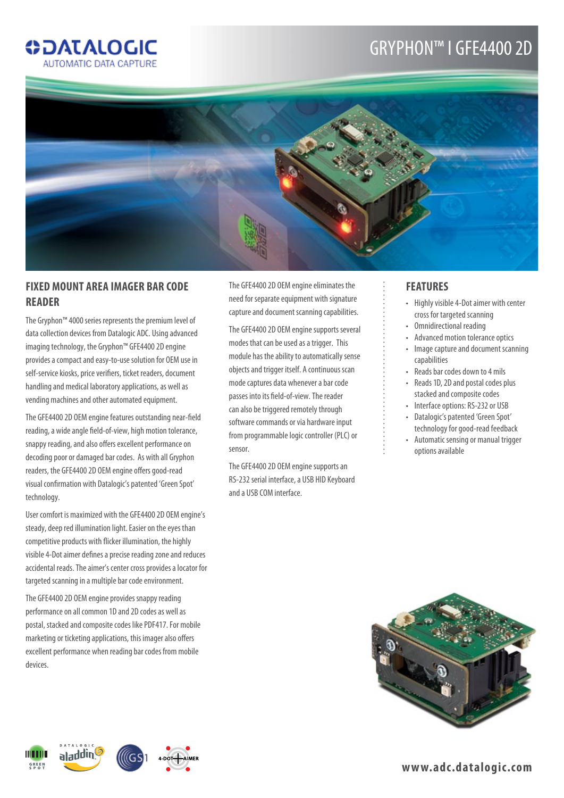# gryphon™ I gfE4400 2D



## **Fixed Mount area Imager Bar Code Reader**

**ODATALOGIC AUTOMATIC DATA CAPTURE** 

The Gryphon™ 4000 series represents the premium level of data collection devices from Datalogic ADC. Using advanced imaging technology, the Gryphon™ GFE4400 2D engine provides a compact and easy-to-use solution for OEM use in self-service kiosks, price verifiers, ticket readers, document handling and medical laboratory applications, as well as vending machines and other automated equipment.

The GFE4400 2D OEM engine features outstanding near-field reading, a wide angle field-of-view, high motion tolerance, snappy reading, and also offers excellent performance on decoding poor or damaged bar codes. As with all Gryphon readers, the GFE4400 2D OEM engine offers good-read visual confirmation with Datalogic's patented 'Green Spot' technology.

User comfort is maximized with the GFE4400 2D OEM engine's steady, deep red illumination light. Easier on the eyes than competitive products with flicker illumination, the highly visible 4-Dot aimer defines a precise reading zone and reduces accidental reads. The aimer's center cross provides a locator for targeted scanning in a multiple bar code environment.

The GFE4400 2D OEM engine provides snappy reading performance on all common 1D and 2D codes as well as postal, stacked and composite codes like PDF417. For mobile marketing or ticketing applications, this imager also offers excellent performance when reading bar codes from mobile devices.

The GFE4400 2D OEM engine eliminates the need for separate equipment with signature capture and document scanning capabilities.

The GFE4400 2D OEM engine supports several modes that can be used as a trigger. This module has the ability to automatically sense objects and trigger itself. A continuous scan mode captures data whenever a bar code passes into its field-of-view. The reader can also be triggered remotely through software commands or via hardware input from programmable logic controller (PLC) or sensor.

The GFE4400 2D OEM engine supports an RS-232 serial interface, a USB HID Keyboard and a USB COM interface.

## **Features**

- • Highly visible 4-Dot aimer with center cross for targeted scanning
- • Omnidirectional reading
- • Advanced motion tolerance optics
- Image capture and document scanning capabilities
- • Reads bar codes down to 4 mils
- Reads 1D, 2D and postal codes plus stacked and composite codes
- • Interface options: RS-232 or USB
- Datalogic's patented 'Green Spot' technology for good-read feedback
- • Automatic sensing or manual trigger options available